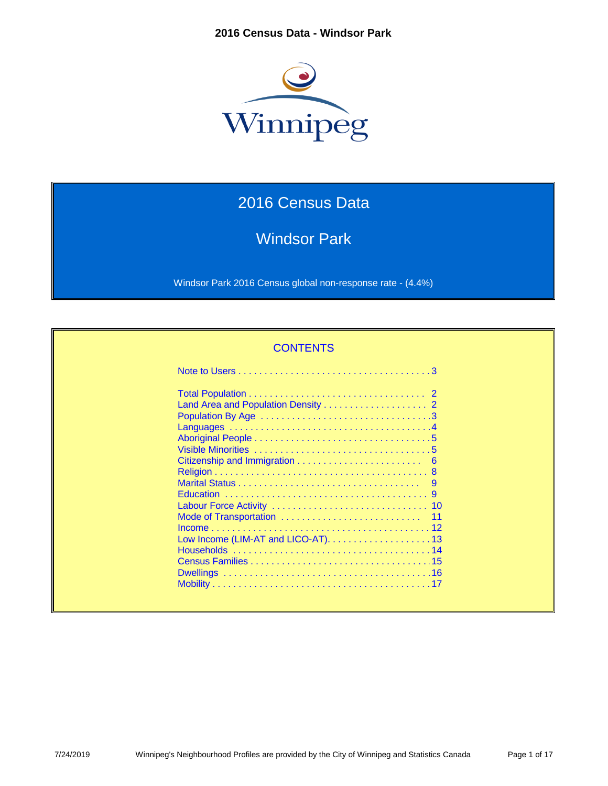

# 2016 Census Data

Windsor Park

Windsor Park 2016 Census global non-response rate - (4.4%)

# **CONTENTS**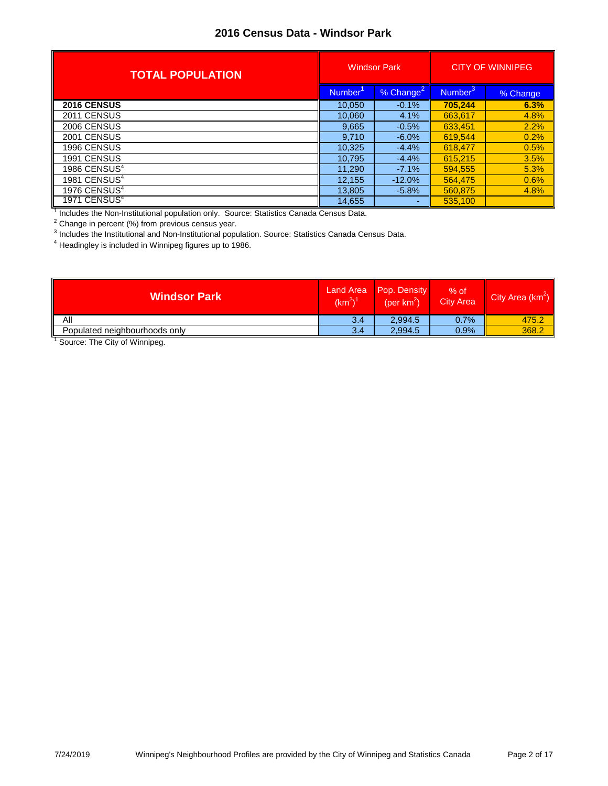| <b>TOTAL POPULATION</b>  | <b>Windsor Park</b> |                       | <b>CITY OF WINNIPEG</b> |          |
|--------------------------|---------------------|-----------------------|-------------------------|----------|
|                          | <b>Number</b>       | % Change <sup>1</sup> | Number <sup>3</sup>     | % Change |
| <b>2016 CENSUS</b>       | 10,050              | $-0.1%$               | 705,244                 | 6.3%     |
| 2011 CENSUS              | 10.060              | 4.1%                  | 663,617                 | 4.8%     |
| 2006 CENSUS              | 9,665               | $-0.5%$               | 633.451                 | 2.2%     |
| 2001 CENSUS              | 9,710               | $-6.0\%$              | 619.544                 | 0.2%     |
| 1996 CENSUS              | 10,325              | $-4.4%$               | 618.477                 | 0.5%     |
| 1991 CENSUS              | 10.795              | $-4.4%$               | 615.215                 | 3.5%     |
| 1986 CENSUS <sup>4</sup> | 11,290              | $-7.1%$               | 594,555                 | 5.3%     |
| 1981 CENSUS <sup>4</sup> | 12,155              | $-12.0%$              | 564,475                 | 0.6%     |
| 1976 CENSUS <sup>4</sup> | 13,805              | $-5.8%$               | 560.875                 | 4.8%     |
| 1971 CENSUS <sup>4</sup> | 14,655              | ۰                     | 535.100                 |          |

<sup>1</sup> Includes the Non-Institutional population only. Source: Statistics Canada Census Data.

 $^2$  Change in percent (%) from previous census year.<br><sup>3</sup> Includes the Institutional and Non-Institutional population. Source: Statistics Canada Census Data.<br><sup>4</sup> Usedinglay is included in Winnipeg figures up to 1986.

Headingley is included in Winnipeg figures up to 1986.

| <b>Windsor Park</b>           | Land Area<br>$(km^2)^{\frac{1}{2}}$ | Pop. Density<br>(per $km^2$ ) | $%$ of<br><b>City Area</b> | City Area (km <sup>2</sup> ) |
|-------------------------------|-------------------------------------|-------------------------------|----------------------------|------------------------------|
| Αll                           | 3.4                                 | 2.994.5                       | 0.7%                       | 475.2                        |
| Populated neighbourhoods only | 3.4                                 | 2.994.5                       | 0.9%                       | 368.2                        |
| $\sim$<br>$- \cdot$           |                                     |                               |                            |                              |

<sup>1</sup> Source: The City of Winnipeg.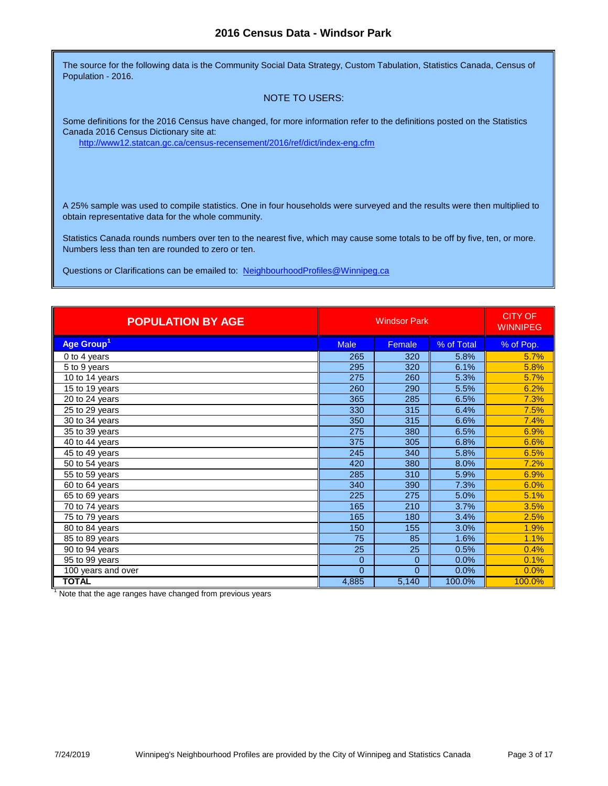The source for the following data is the Community Social Data Strategy, Custom Tabulation, Statistics Canada, Census of Population - 2016.

#### NOTE TO USERS:

Some definitions for the 2016 Census have changed, for more information refer to the definitions posted on the Statistics Canada 2016 Census Dictionary site at:

[http://www12.statcan.gc.ca/census-recensement/2016/ref/dict/](http://www12.statcan.gc.ca/census-recensement/2016/ref/dict/index-eng.cfm)index-eng.cfm

A 25% sample was used to compile statistics. One in four households were surveyed and the results were then multiplied to obtain representative data for the whole community.

Statistics Canada rounds numbers over ten to the nearest five, which may cause some totals to be off by five, ten, or more. Numbers less than ten are rounded to zero or ten.

[Questions or Clarifications can be emailed to: NeighbourhoodProf](mailto:NeighbourhoodProfiles@Winnipeg.ca)iles@Winnipeg.ca

| <b>POPULATION BY AGE</b>    |                | <b>CITY OF</b><br><b>WINNIPEG</b> |            |           |
|-----------------------------|----------------|-----------------------------------|------------|-----------|
| Age Group <sup>1</sup>      | <b>Male</b>    | Female                            | % of Total | % of Pop. |
| $\overline{0}$ to 4 years   | 265            | 320                               | 5.8%       | 5.7%      |
| 5 to 9 years                | 295            | 320                               | 6.1%       | 5.8%      |
| 10 to 14 years              | 275            | 260                               | 5.3%       | 5.7%      |
| $\overline{15}$ to 19 years | 260            | 290                               | 5.5%       | 6.2%      |
| 20 to 24 years              | 365            | 285                               | 6.5%       | 7.3%      |
| 25 to 29 years              | 330            | 315                               | 6.4%       | 7.5%      |
| 30 to 34 years              | 350            | 315                               | 6.6%       | 7.4%      |
| 35 to 39 years              | 275            | 380                               | 6.5%       | 6.9%      |
| 40 to 44 years              | 375            | 305                               | 6.8%       | 6.6%      |
| 45 to 49 years              | 245            | 340                               | 5.8%       | 6.5%      |
| 50 to 54 years              | 420            | 380                               | 8.0%       | 7.2%      |
| 55 to 59 years              | 285            | 310                               | 5.9%       | 6.9%      |
| 60 to 64 years              | 340            | 390                               | 7.3%       | 6.0%      |
| $65$ to 69 years            | 225            | 275                               | 5.0%       | 5.1%      |
| 70 to 74 years              | 165            | 210                               | 3.7%       | 3.5%      |
| 75 to 79 years              | 165            | 180                               | 3.4%       | 2.5%      |
| 80 to 84 years              | 150            | 155                               | 3.0%       | 1.9%      |
| 85 to 89 years              | 75             | 85                                | 1.6%       | 1.1%      |
| 90 to 94 years              | 25             | 25                                | 0.5%       | 0.4%      |
| $\overline{95}$ to 99 years | $\Omega$       | $\mathbf{0}$                      | 0.0%       | 0.1%      |
| 100 years and over          | $\overline{0}$ | $\Omega$                          | 0.0%       | 0.0%      |
| <b>TOTAL</b>                | 4,885          | 5,140                             | 100.0%     | 100.0%    |

 $1$  Note that the age ranges have changed from previous years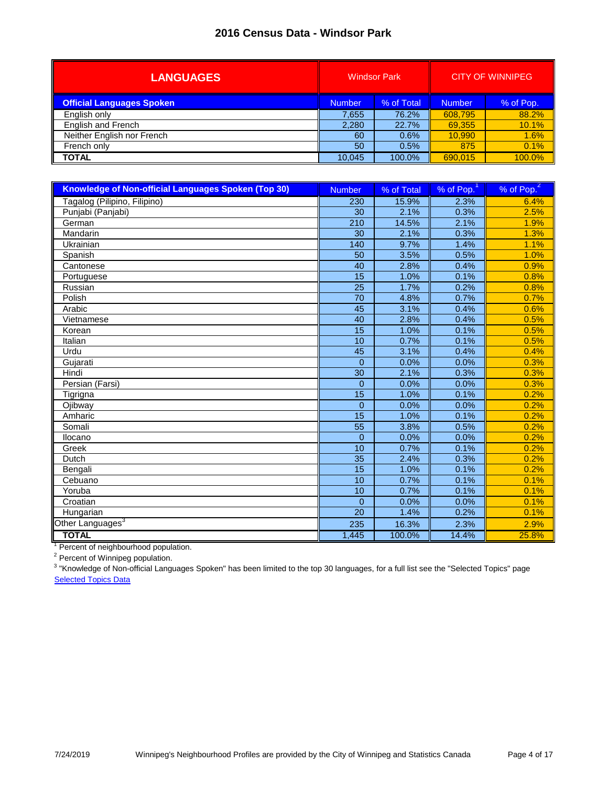| <b>LANGUAGES</b>                 | <b>Windsor Park</b> |            |               | <b>CITY OF WINNIPEG</b> |
|----------------------------------|---------------------|------------|---------------|-------------------------|
| <b>Official Languages Spoken</b> | <b>Number</b>       | % of Total | <b>Number</b> | % of Pop.               |
| English only                     | 7,655               | 76.2%      | 608.795       | 88.2%                   |
| English and French               | 2,280               | 22.7%      | 69,355        | 10.1%                   |
| Neither English nor French       | 60                  | 0.6%       | 10,990        | 1.6%                    |
| French only                      | 50                  | 0.5%       | 875           | 0.1%                    |
| <b>TOTAL</b>                     | 10.045              | 100.0%     | 690.015       | 100.0%                  |

| <b>Knowledge of Non-official Languages Spoken (Top 30)</b> | <b>Number</b>   | % of Total | $%$ of Pop. <sup>1</sup> | % of Pop. <sup>2</sup> |
|------------------------------------------------------------|-----------------|------------|--------------------------|------------------------|
| Tagalog (Pilipino, Filipino)                               | 230             | 15.9%      | 2.3%                     | 6.4%                   |
| Punjabi (Panjabi)                                          | 30              | 2.1%       | 0.3%                     | 2.5%                   |
| German                                                     | 210             | 14.5%      | 2.1%                     | 1.9%                   |
| Mandarin                                                   | 30              | 2.1%       | 0.3%                     | 1.3%                   |
| Ukrainian                                                  | 140             | 9.7%       | 1.4%                     | 1.1%                   |
| Spanish                                                    | 50              | 3.5%       | 0.5%                     | 1.0%                   |
| Cantonese                                                  | 40              | 2.8%       | 0.4%                     | 0.9%                   |
| Portuguese                                                 | 15              | 1.0%       | 0.1%                     | 0.8%                   |
| Russian                                                    | 25              | 1.7%       | 0.2%                     | 0.8%                   |
| Polish                                                     | $\overline{70}$ | 4.8%       | 0.7%                     | 0.7%                   |
| Arabic                                                     | 45              | 3.1%       | 0.4%                     | 0.6%                   |
| Vietnamese                                                 | 40              | 2.8%       | 0.4%                     | 0.5%                   |
| Korean                                                     | 15              | 1.0%       | 0.1%                     | 0.5%                   |
| Italian                                                    | 10              | 0.7%       | 0.1%                     | 0.5%                   |
| Urdu                                                       | 45              | 3.1%       | 0.4%                     | 0.4%                   |
| Gujarati                                                   | $\overline{0}$  | 0.0%       | 0.0%                     | 0.3%                   |
| Hindi                                                      | 30              | 2.1%       | 0.3%                     | 0.3%                   |
| Persian (Farsi)                                            | $\overline{0}$  | 0.0%       | 0.0%                     | 0.3%                   |
| Tigrigna                                                   | 15              | 1.0%       | 0.1%                     | 0.2%                   |
| Ojibway                                                    | $\mathbf 0$     | 0.0%       | 0.0%                     | 0.2%                   |
| Amharic                                                    | 15              | 1.0%       | 0.1%                     | 0.2%                   |
| Somali                                                     | $\overline{55}$ | 3.8%       | 0.5%                     | 0.2%                   |
| Ilocano                                                    | $\overline{0}$  | 0.0%       | 0.0%                     | 0.2%                   |
| Greek                                                      | 10              | 0.7%       | 0.1%                     | 0.2%                   |
| Dutch                                                      | 35              | 2.4%       | 0.3%                     | 0.2%                   |
| Bengali                                                    | 15              | 1.0%       | 0.1%                     | 0.2%                   |
| Cebuano                                                    | 10              | 0.7%       | 0.1%                     | 0.1%                   |
| Yoruba                                                     | 10              | 0.7%       | 0.1%                     | 0.1%                   |
| Croatian                                                   | $\overline{0}$  | 0.0%       | 0.0%                     | 0.1%                   |
| Hungarian                                                  | 20              | 1.4%       | 0.2%                     | 0.1%                   |
| Other Languages <sup>3</sup>                               | 235             | 16.3%      | 2.3%                     | 2.9%                   |
| <b>TOTAL</b>                                               | 1,445           | 100.0%     | 14.4%                    | 25.8%                  |

<sup>1</sup> Percent of neighbourhood population.

<sup>2</sup> Percent of Winnipeg population.

<sup>3</sup> "Knowledge of Non-official Languages Spoken" has been limited to the top 30 languages, for a full list see the "Selected Topics" page **[Selected Topics Data](http://winnipeg.ca/census/2016/Selected Topics/default.asp)**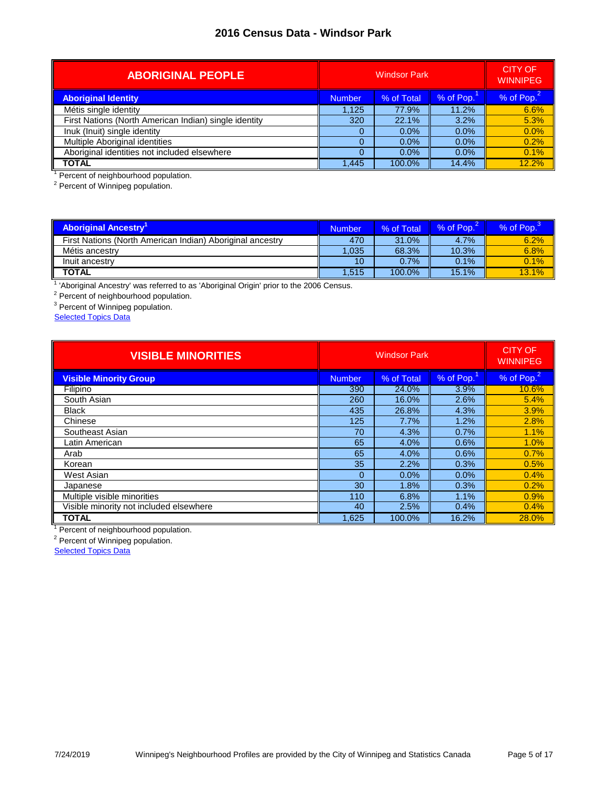| <b>ABORIGINAL PEOPLE</b>                              |               | <b>CITY OF</b><br><b>WINNIPEG</b> |                        |       |
|-------------------------------------------------------|---------------|-----------------------------------|------------------------|-------|
| <b>Aboriginal Identity</b>                            | <b>Number</b> | % of Pop.                         | % of Pop. <sup>2</sup> |       |
| Métis single identity                                 | 1.125         | 77.9%                             | 11.2%                  | 6.6%  |
| First Nations (North American Indian) single identity | 320           | 22.1%                             | 3.2%                   | 5.3%  |
| Inuk (Inuit) single identity                          | 0             | $0.0\%$                           | $0.0\%$                | 0.0%  |
| Multiple Aboriginal identities                        |               | 0.0%                              | $0.0\%$                | 0.2%  |
| Aboriginal identities not included elsewhere          | 0             | $0.0\%$                           | $0.0\%$                | 0.1%  |
| <b>TOTAL</b>                                          | 1.445         | 100.0%                            | 14.4%                  | 12.2% |

<sup>1</sup> Percent of neighbourhood population.<br><sup>2</sup> Percent of Winnipeg population.

| <b>Aboriginal Ancestry'</b>                               | <b>Number</b> | % of Total | $%$ of Pop. | % of Pop. |
|-----------------------------------------------------------|---------------|------------|-------------|-----------|
| First Nations (North American Indian) Aboriginal ancestry | 470           | 31.0%      | 4.7%        | 6.2%      |
| Métis ancestry                                            | 1.035         | 68.3%      | 10.3%       | 6.8%      |
| Inuit ancestry                                            | 10            | 0.7%       | 0.1%        | 0.1%      |
| <b>TOTAL</b>                                              | 1.515         | 100.0%     | 15.1%       | 13.1%     |

<sup>1</sup> 'Aboriginal Ancestry' was referred to as 'Aboriginal Origin' prior to the 2006 Census.

<sup>2</sup> Percent of neighbourhood population.<br><sup>3</sup> Percent of Winnipeg population.

[Selected Topics Data](http://winnipeg.ca/census/2016/Selected Topics/default.asp)

| <b>VISIBLE MINORITIES</b>               |               | <b>CITY OF</b><br><b>WINNIPEG</b> |           |                        |
|-----------------------------------------|---------------|-----------------------------------|-----------|------------------------|
| <b>Visible Minority Group</b>           | <b>Number</b> | % of Total                        | % of Pop. | % of Pop. <sup>2</sup> |
| Filipino                                | 390           | 24.0%                             | 3.9%      | 10.6%                  |
| South Asian                             | 260           | 16.0%                             | 2.6%      | 5.4%                   |
| <b>Black</b>                            | 435           | 26.8%                             | 4.3%      | 3.9%                   |
| Chinese                                 | 125           | 7.7%                              | 1.2%      | 2.8%                   |
| Southeast Asian                         | 70            | 4.3%                              | 0.7%      | 1.1%                   |
| Latin American                          | 65            | 4.0%                              | 0.6%      | 1.0%                   |
| Arab                                    | 65            | 4.0%                              | 0.6%      | 0.7%                   |
| Korean                                  | 35            | 2.2%                              | 0.3%      | 0.5%                   |
| West Asian                              | 0             | 0.0%                              | 0.0%      | 0.4%                   |
| Japanese                                | 30            | 1.8%                              | 0.3%      | 0.2%                   |
| Multiple visible minorities             | 110           | 6.8%                              | 1.1%      | 0.9%                   |
| Visible minority not included elsewhere | 40            | 2.5%                              | 0.4%      | 0.4%                   |
| <b>TOTAL</b>                            | 1,625         | 100.0%                            | 16.2%     | 28.0%                  |

<sup>1</sup> Percent of neighbourhood population.

<sup>2</sup> Percent of Winnipeg population.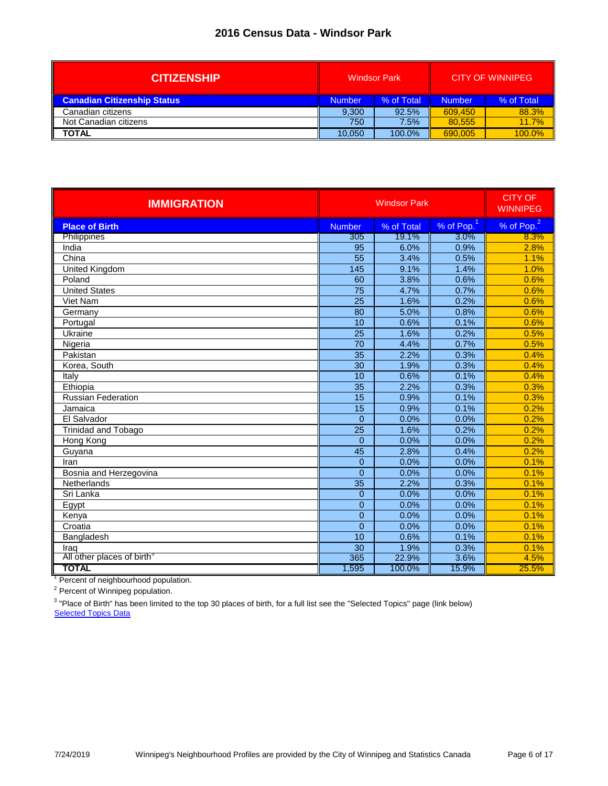| <b>CITIZENSHIP</b>                 | <b>Windsor Park</b> |            |               | CITY OF WINNIPEG |
|------------------------------------|---------------------|------------|---------------|------------------|
| <b>Canadian Citizenship Status</b> | <b>Number</b>       | % of Total | <b>Number</b> | % of Total       |
| Canadian citizens                  | 9,300               | 92.5%      | 609.450       | 88.3%            |
| Not Canadian citizens              | 750                 | 7.5%       | 80.555        | 11.7%            |
| <b>TOTAL</b>                       | 10.050              | 100.0%     | 690.005       | 100.0%           |

| <b>IMMIGRATION</b>                                             |                 | <b>CITY OF</b><br><b>WINNIPEG</b> |                        |                        |
|----------------------------------------------------------------|-----------------|-----------------------------------|------------------------|------------------------|
| <b>Place of Birth</b>                                          | <b>Number</b>   | % of Total                        | % of Pop. <sup>1</sup> | % of Pop. <sup>2</sup> |
| Philippines                                                    | 305             | 19.1%                             | 3.0%                   | 8.3%                   |
| India                                                          | 95              | 6.0%                              | 0.9%                   | 2.8%                   |
| China                                                          | $\overline{55}$ | 3.4%                              | 0.5%                   | 1.1%                   |
| <b>United Kingdom</b>                                          | 145             | 9.1%                              | 1.4%                   | 1.0%                   |
| Poland                                                         | 60              | 3.8%                              | 0.6%                   | 0.6%                   |
| <b>United States</b>                                           | $\overline{75}$ | 4.7%                              | 0.7%                   | 0.6%                   |
| Viet Nam                                                       | $\overline{25}$ | 1.6%                              | 0.2%                   | 0.6%                   |
| Germany                                                        | $\overline{80}$ | 5.0%                              | 0.8%                   | 0.6%                   |
| Portugal                                                       | 10              | 0.6%                              | 0.1%                   | 0.6%                   |
| Ukraine                                                        | $\overline{25}$ | 1.6%                              | 0.2%                   | 0.5%                   |
| Nigeria                                                        | 70              | 4.4%                              | 0.7%                   | 0.5%                   |
| Pakistan                                                       | 35              | 2.2%                              | 0.3%                   | 0.4%                   |
| Korea, South                                                   | 30              | 1.9%                              | 0.3%                   | 0.4%                   |
| Italy                                                          | $\overline{10}$ | 0.6%                              | 0.1%                   | 0.4%                   |
| Ethiopia                                                       | $\overline{35}$ | 2.2%                              | 0.3%                   | 0.3%                   |
| Russian Federation                                             | 15              | 0.9%                              | 0.1%                   | 0.3%                   |
| Jamaica                                                        | 15              | 0.9%                              | 0.1%                   | 0.2%                   |
| El Salvador                                                    | $\overline{0}$  | 0.0%                              | 0.0%                   | 0.2%                   |
| <b>Trinidad and Tobago</b>                                     | $\overline{25}$ | 1.6%                              | 0.2%                   | 0.2%                   |
| Hong Kong                                                      | $\overline{0}$  | 0.0%                              | 0.0%                   | 0.2%                   |
| Guyana                                                         | $\overline{45}$ | 2.8%                              | 0.4%                   | 0.2%                   |
| Iran                                                           | $\overline{0}$  | 0.0%                              | 0.0%                   | 0.1%                   |
| Bosnia and Herzegovina                                         | $\overline{0}$  | 0.0%                              | 0.0%                   | 0.1%                   |
| Netherlands                                                    | $\overline{35}$ | 2.2%                              | 0.3%                   | 0.1%                   |
| Sri Lanka                                                      | $\overline{0}$  | 0.0%                              | 0.0%                   | 0.1%                   |
| Egypt                                                          | $\overline{0}$  | 0.0%                              | 0.0%                   | 0.1%                   |
| Kenya                                                          | $\overline{0}$  | 0.0%                              | 0.0%                   | 0.1%                   |
| Croatia                                                        | $\overline{0}$  | 0.0%                              | 0.0%                   | 0.1%                   |
| Bangladesh                                                     | $\overline{10}$ | 0.6%                              | 0.1%                   | 0.1%                   |
| Iraq                                                           | $\overline{30}$ | 1.9%                              | 0.3%                   | 0.1%                   |
| All other places of birth <sup>3</sup>                         | 365             | 22.9%                             | 3.6%                   | 4.5%                   |
| <b>TOTAL</b><br>$\cdot$ $\cdot$ $\cdot$<br>$\overline{\cdots}$ | 1,595           | 100.0%                            | 15.9%                  | 25.5%                  |

<sup>1</sup> Percent of neighbourhood population.

<sup>2</sup> Percent of Winnipeg population.

**[Selected Topics Data](http://winnipeg.ca/census/2016/Selected Topics/default.asp)** <sup>3</sup> "Place of Birth" has been limited to the top 30 places of birth, for a full list see the "Selected Topics" page (link below)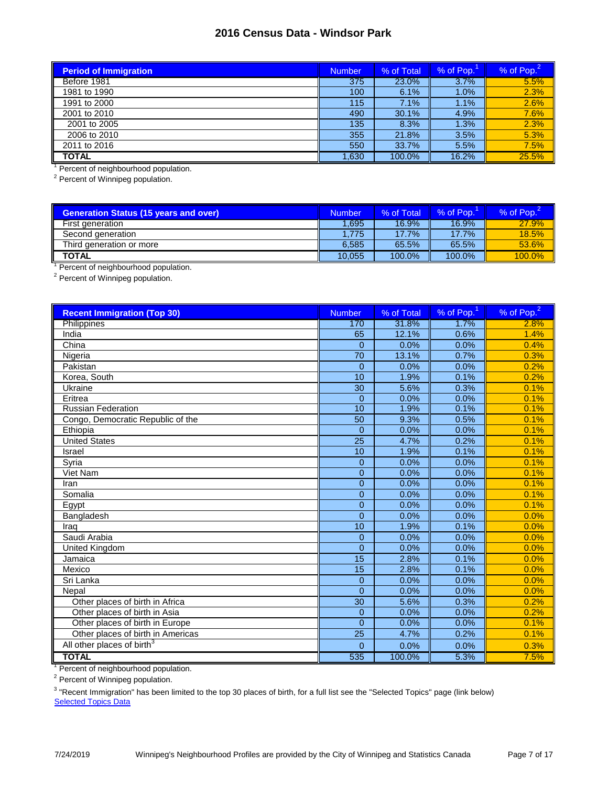| <b>Period of Immigration</b> | Number | % of Total | % of Pop. | % of Pop. |
|------------------------------|--------|------------|-----------|-----------|
| Before 1981                  | 375    | 23.0%      | 3.7%      | 5.5%      |
| 1981 to 1990                 | 100    | 6.1%       | 1.0%      | 2.3%      |
| 1991 to 2000                 | 115    | 7.1%       | 1.1%      | 2.6%      |
| 2001 to 2010                 | 490    | 30.1%      | 4.9%      | 7.6%      |
| 2001 to 2005                 | 135    | 8.3%       | 1.3%      | 2.3%      |
| 2006 to 2010                 | 355    | 21.8%      | 3.5%      | 5.3%      |
| 2011 to 2016                 | 550    | 33.7%      | 5.5%      | 7.5%      |
| <b>TOTAL</b>                 | 1,630  | 100.0%     | 16.2%     | 25.5%     |

<sup>1</sup> Percent of neighbourhood population.

<sup>2</sup> Percent of Winnipeg population.

| <b>Number</b> | % of Total | % of Pop. | % of Pop. |
|---------------|------------|-----------|-----------|
| 1.695         | 16.9%      | 16.9%     | 27.9%     |
| 1.775         | 17.7%      | 17.7%     | 18.5%     |
| 6.585         | 65.5%      | 65.5%     | 53.6%     |
| 10.055        | 100.0%     | 100.0%    | 100.0%    |
|               |            |           |           |

<sup>1</sup> Percent of neighbourhood population.<br><sup>2</sup> Percent of Winnipeg population.

| <b>Recent Immigration (Top 30)</b>     | <b>Number</b>   | % of Total | $%$ of Pop. $1$ | % of Pop. <sup>2</sup> |
|----------------------------------------|-----------------|------------|-----------------|------------------------|
| Philippines                            | 170             | 31.8%      | 1.7%            | 2.8%                   |
| India                                  | 65              | 12.1%      | 0.6%            | 1.4%                   |
| China                                  | $\Omega$        | 0.0%       | 0.0%            | 0.4%                   |
| Nigeria                                | 70              | 13.1%      | 0.7%            | 0.3%                   |
| Pakistan                               | $\overline{0}$  | 0.0%       | 0.0%            | 0.2%                   |
| Korea, South                           | 10              | 1.9%       | 0.1%            | 0.2%                   |
| Ukraine                                | 30              | 5.6%       | 0.3%            | 0.1%                   |
| Eritrea                                | $\Omega$        | 0.0%       | 0.0%            | 0.1%                   |
| <b>Russian Federation</b>              | 10              | 1.9%       | 0.1%            | 0.1%                   |
| Congo, Democratic Republic of the      | 50              | 9.3%       | 0.5%            | 0.1%                   |
| Ethiopia                               | $\overline{0}$  | 0.0%       | 0.0%            | 0.1%                   |
| <b>United States</b>                   | 25              | 4.7%       | 0.2%            | 0.1%                   |
| Israel                                 | 10              | 1.9%       | 0.1%            | 0.1%                   |
| Syria                                  | $\overline{0}$  | 0.0%       | 0.0%            | 0.1%                   |
| Viet Nam                               | $\mathbf{0}$    | 0.0%       | 0.0%            | 0.1%                   |
| Iran                                   | $\overline{0}$  | 0.0%       | 0.0%            | 0.1%                   |
| Somalia                                | $\overline{0}$  | 0.0%       | 0.0%            | 0.1%                   |
| Egypt                                  | $\overline{0}$  | 0.0%       | 0.0%            | 0.1%                   |
| Bangladesh                             | $\overline{0}$  | 0.0%       | 0.0%            | 0.0%                   |
| Iraq                                   | 10              | 1.9%       | 0.1%            | 0.0%                   |
| Saudi Arabia                           | $\overline{0}$  | 0.0%       | 0.0%            | 0.0%                   |
| United Kingdom                         | $\overline{0}$  | 0.0%       | 0.0%            | 0.0%                   |
| Jamaica                                | 15              | 2.8%       | 0.1%            | 0.0%                   |
| Mexico                                 | $\overline{15}$ | 2.8%       | 0.1%            | 0.0%                   |
| Sri Lanka                              | $\overline{0}$  | 0.0%       | 0.0%            | 0.0%                   |
| Nepal                                  | $\overline{0}$  | 0.0%       | 0.0%            | 0.0%                   |
| Other places of birth in Africa        | 30              | 5.6%       | 0.3%            | 0.2%                   |
| Other places of birth in Asia          | $\Omega$        | 0.0%       | 0.0%            | 0.2%                   |
| Other places of birth in Europe        | $\overline{0}$  | 0.0%       | 0.0%            | 0.1%                   |
| Other places of birth in Americas      | 25              | 4.7%       | 0.2%            | 0.1%                   |
| All other places of birth <sup>3</sup> | $\Omega$        | 0.0%       | 0.0%            | 0.3%                   |
| <b>TOTAL</b>                           | 535             | 100.0%     | 5.3%            | 7.5%                   |

<sup>1</sup> Percent of neighbourhood population.

<sup>2</sup> Percent of Winnipeg population.

**[Selected Topics Data](http://winnipeg.ca/census/2016/Selected Topics/default.asp)** <sup>3</sup> "Recent Immigration" has been limited to the top 30 places of birth, for a full list see the "Selected Topics" page (link below)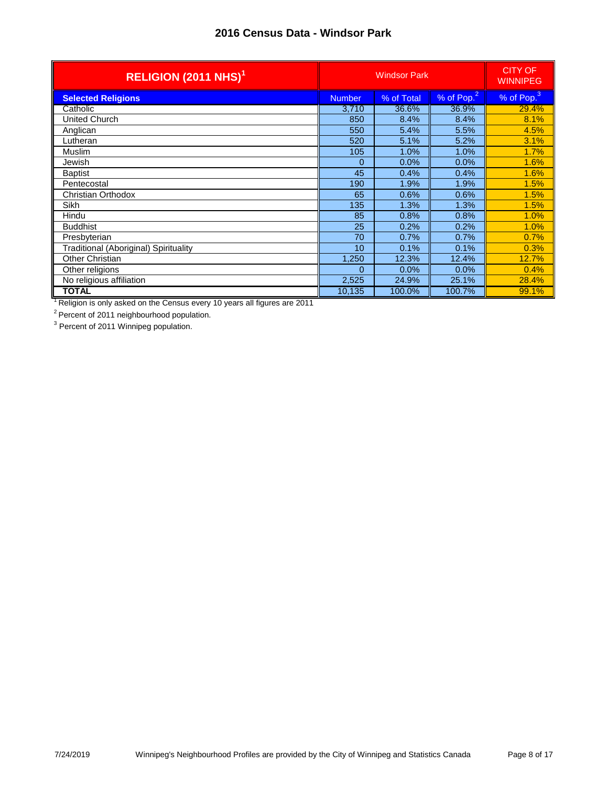| RELIGION (2011 NHS) <sup>1</sup>             |               |            | <b>CITY OF</b><br><b>WINNIPEG</b> |                        |
|----------------------------------------------|---------------|------------|-----------------------------------|------------------------|
| <b>Selected Religions</b>                    | <b>Number</b> | % of Total | % of Pop.                         | % of Pop. <sup>3</sup> |
| Catholic                                     | 3,710         | 36.6%      | 36.9%                             | 29.4%                  |
| United Church                                | 850           | 8.4%       | 8.4%                              | 8.1%                   |
| Anglican                                     | 550           | 5.4%       | 5.5%                              | 4.5%                   |
| Lutheran                                     | 520           | 5.1%       | 5.2%                              | 3.1%                   |
| <b>Muslim</b>                                | 105           | 1.0%       | 1.0%                              | 1.7%                   |
| Jewish                                       | 0             | 0.0%       | 0.0%                              | 1.6%                   |
| <b>Baptist</b>                               | 45            | 0.4%       | 0.4%                              | 1.6%                   |
| Pentecostal                                  | 190           | 1.9%       | 1.9%                              | 1.5%                   |
| <b>Christian Orthodox</b>                    | 65            | 0.6%       | 0.6%                              | 1.5%                   |
| Sikh                                         | 135           | 1.3%       | 1.3%                              | 1.5%                   |
| Hindu                                        | 85            | 0.8%       | 0.8%                              | 1.0%                   |
| <b>Buddhist</b>                              | 25            | 0.2%       | 0.2%                              | 1.0%                   |
| Presbyterian                                 | 70            | 0.7%       | 0.7%                              | 0.7%                   |
| <b>Traditional (Aboriginal) Spirituality</b> | 10            | 0.1%       | 0.1%                              | 0.3%                   |
| Other Christian                              | 1,250         | 12.3%      | 12.4%                             | 12.7%                  |
| Other religions                              | 0             | 0.0%       | 0.0%                              | 0.4%                   |
| No religious affiliation                     | 2,525         | 24.9%      | 25.1%                             | 28.4%                  |
| TOTAL                                        | 10,135        | 100.0%     | 100.7%                            | 99.1%                  |

<sup>1</sup> Religion is only asked on the Census every 10 years all figures are 2011

<sup>2</sup> Percent of 2011 neighbourhood population.<br><sup>3</sup> Percent of 2011 Winnipeg population.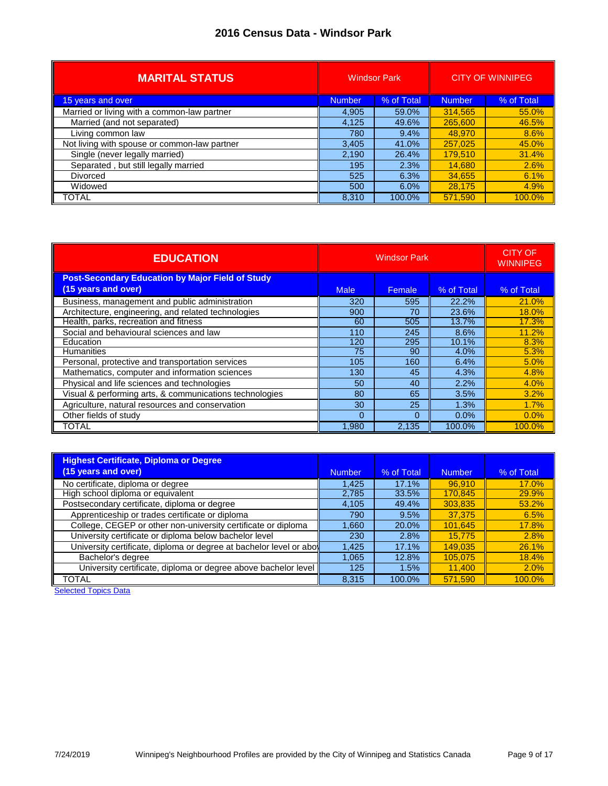| <b>MARITAL STATUS</b>                        | <b>Windsor Park</b> |            | <b>CITY OF WINNIPEG</b> |            |
|----------------------------------------------|---------------------|------------|-------------------------|------------|
| 15 years and over                            | <b>Number</b>       | % of Total | <b>Number</b>           | % of Total |
| Married or living with a common-law partner  | 4,905               | 59.0%      | 314,565                 | 55.0%      |
| Married (and not separated)                  | 4,125               | 49.6%      | 265,600                 | 46.5%      |
| Living common law                            | 780                 | 9.4%       | 48.970                  | 8.6%       |
| Not living with spouse or common-law partner | 3,405               | 41.0%      | 257,025                 | 45.0%      |
| Single (never legally married)               | 2,190               | 26.4%      | 179,510                 | 31.4%      |
| Separated, but still legally married         | 195                 | 2.3%       | 14,680                  | 2.6%       |
| <b>Divorced</b>                              | 525                 | 6.3%       | 34,655                  | 6.1%       |
| Widowed                                      | 500                 | 6.0%       | 28,175                  | 4.9%       |
| TOTAL                                        | 8,310               | 100.0%     | 571.590                 | 100.0%     |

| <b>EDUCATION</b>                                                               |             | <b>CITY OF</b><br><b>WINNIPEG</b> |            |            |
|--------------------------------------------------------------------------------|-------------|-----------------------------------|------------|------------|
| <b>Post-Secondary Education by Major Field of Study</b><br>(15 years and over) | <b>Male</b> | Female                            | % of Total | % of Total |
|                                                                                |             |                                   |            |            |
| Business, management and public administration                                 | 320         | 595                               | 22.2%      | 21.0%      |
| Architecture, engineering, and related technologies                            | 900         | 70                                | 23.6%      | 18.0%      |
| Health, parks, recreation and fitness                                          | 60          | 505                               | 13.7%      | 17.3%      |
| Social and behavioural sciences and law                                        | 110         | 245                               | 8.6%       | 11.2%      |
| Education                                                                      | 120         | 295                               | 10.1%      | 8.3%       |
| <b>Humanities</b>                                                              | 75          | 90                                | 4.0%       | 5.3%       |
| Personal, protective and transportation services                               | 105         | 160                               | 6.4%       | 5.0%       |
| Mathematics, computer and information sciences                                 | 130         | 45                                | 4.3%       | 4.8%       |
| Physical and life sciences and technologies                                    | 50          | 40                                | 2.2%       | 4.0%       |
| Visual & performing arts, & communications technologies                        | 80          | 65                                | 3.5%       | 3.2%       |
| Agriculture, natural resources and conservation                                | 30          | 25                                | 1.3%       | 1.7%       |
| Other fields of study                                                          | $\Omega$    | $\Omega$                          | 0.0%       | 0.0%       |
| TOTAL                                                                          | 1,980       | 2,135                             | 100.0%     | 100.0%     |

| <b>Highest Certificate, Diploma or Degree</b>                      |               |            |               |              |
|--------------------------------------------------------------------|---------------|------------|---------------|--------------|
| (15 years and over)                                                | <b>Number</b> | % of Total | <b>Number</b> | % of Total   |
| No certificate, diploma or degree                                  | 1.425         | 17.1%      | 96.910        | <b>17.0%</b> |
| High school diploma or equivalent                                  | 2.785         | 33.5%      | 170,845       | 29.9%        |
| Postsecondary certificate, diploma or degree                       | 4.105         | 49.4%      | 303.835       | 53.2%        |
| Apprenticeship or trades certificate or diploma                    | 790           | 9.5%       | 37.375        | 6.5%         |
| College, CEGEP or other non-university certificate or diploma      | 1.660         | 20.0%      | 101.645       | 17.8%        |
| University certificate or diploma below bachelor level             | 230           | 2.8%       | 15.775        | 2.8%         |
| University certificate, diploma or degree at bachelor level or abo | 1,425         | 17.1%      | 149.035       | 26.1%        |
| Bachelor's degree                                                  | 1.065         | 12.8%      | 105.075       | 18.4%        |
| University certificate, diploma or degree above bachelor level     | 125           | 1.5%       | 11.400        | 2.0%         |
| <b>TOTAL</b>                                                       | 8,315         | 100.0%     | 571.590       | 100.0%       |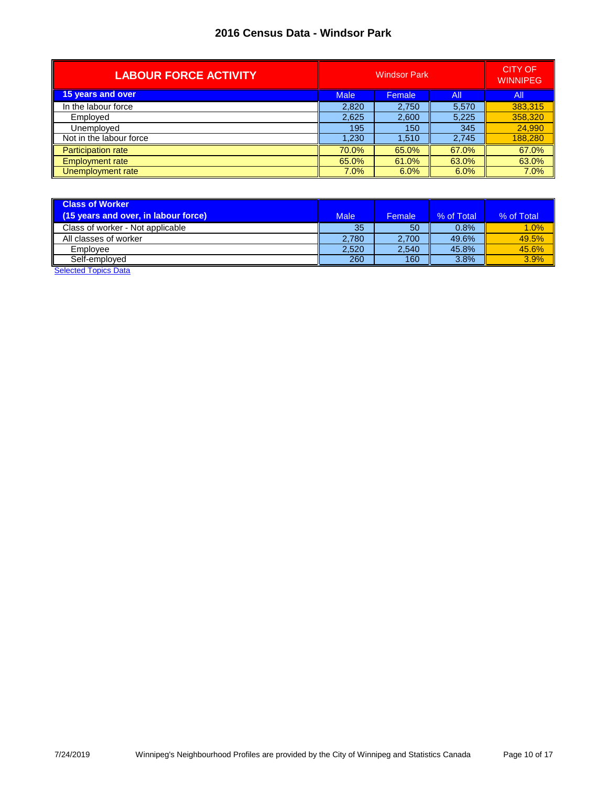| <b>LABOUR FORCE ACTIVITY</b> | <b>Windsor Park</b> |       |       | <b>CITY OF</b><br><b>WINNIPEG</b> |
|------------------------------|---------------------|-------|-------|-----------------------------------|
| 15 years and over            | <b>Male</b>         | All   |       |                                   |
| In the labour force          | 2,820               | 2,750 | 5,570 | 383,315                           |
| Employed                     | 2,625               | 2,600 | 5,225 | 358,320                           |
| Unemployed                   | 195                 | 150   | 345   | 24,990                            |
| Not in the labour force      | 1,230               | 1,510 | 2,745 | 188,280                           |
| <b>Participation rate</b>    | 70.0%               | 65.0% | 67.0% | 67.0%                             |
| <b>Employment rate</b>       | 65.0%               | 61.0% | 63.0% | 63.0%                             |
| Unemployment rate            | 7.0%                | 6.0%  | 6.0%  | 7.0%                              |

| <b>Class of Worker</b><br>(15 years and over, in labour force) | <b>Male</b> | Female | % of Total | % of Total |
|----------------------------------------------------------------|-------------|--------|------------|------------|
| Class of worker - Not applicable                               | 35          | 50     | 0.8%       | 1.0%       |
| All classes of worker                                          | 2.780       | 2.700  | 49.6%      | 49.5%      |
| Employee                                                       | 2.520       | 2,540  | 45.8%      | 45.6%      |
| Self-emploved                                                  | 260         | 160    | 3.8%       | 3.9%       |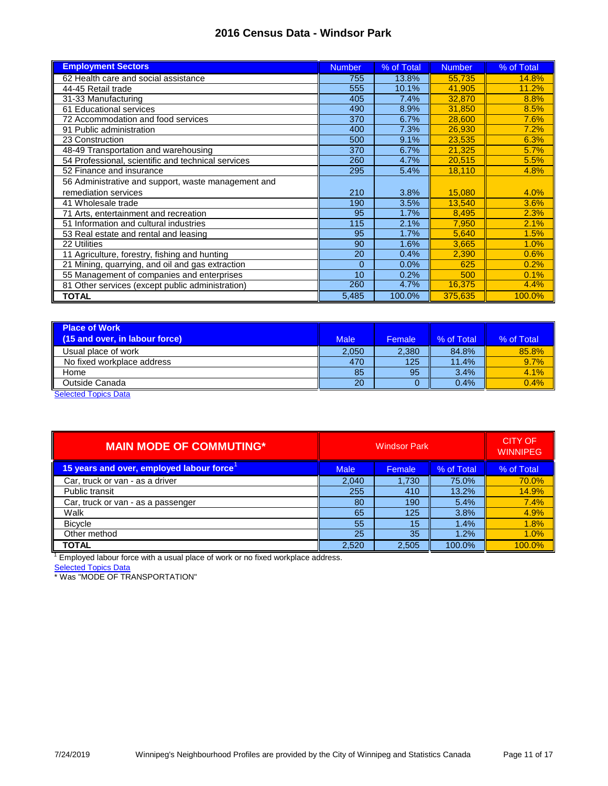| <b>Employment Sectors</b>                           | <b>Number</b> | % of Total | <b>Number</b> | % of Total |
|-----------------------------------------------------|---------------|------------|---------------|------------|
| 62 Health care and social assistance                | 755           | 13.8%      | 55.735        | 14.8%      |
| 44-45 Retail trade                                  | 555           | 10.1%      | 41,905        | 11.2%      |
| 31-33 Manufacturing                                 | 405           | 7.4%       | 32,870        | 8.8%       |
| 61 Educational services                             | 490           | 8.9%       | 31.850        | 8.5%       |
| 72 Accommodation and food services                  | 370           | 6.7%       | 28,600        | 7.6%       |
| 91 Public administration                            | 400           | 7.3%       | 26,930        | 7.2%       |
| 23 Construction                                     | 500           | 9.1%       | 23,535        | 6.3%       |
| 48-49 Transportation and warehousing                | 370           | 6.7%       | 21,325        | 5.7%       |
| 54 Professional, scientific and technical services  | 260           | 4.7%       | 20,515        | 5.5%       |
| 52 Finance and insurance                            | 295           | 5.4%       | 18,110        | 4.8%       |
| 56 Administrative and support, waste management and |               |            |               |            |
| remediation services                                | 210           | 3.8%       | 15,080        | 4.0%       |
| 41 Wholesale trade                                  | 190           | 3.5%       | 13,540        | 3.6%       |
| 71 Arts, entertainment and recreation               | 95            | 1.7%       | 8,495         | 2.3%       |
| 51 Information and cultural industries              | 115           | 2.1%       | 7,950         | 2.1%       |
| 53 Real estate and rental and leasing               | 95            | 1.7%       | 5,640         | 1.5%       |
| 22 Utilities                                        | 90            | 1.6%       | 3,665         | 1.0%       |
| 11 Agriculture, forestry, fishing and hunting       | 20            | 0.4%       | 2,390         | 0.6%       |
| 21 Mining, quarrying, and oil and gas extraction    | 0             | 0.0%       | 625           | 0.2%       |
| 55 Management of companies and enterprises          | 10            | 0.2%       | 500           | 0.1%       |
| 81 Other services (except public administration)    | 260           | 4.7%       | 16,375        | 4.4%       |
| <b>TOTAL</b>                                        | 5,485         | 100.0%     | 375,635       | 100.0%     |

| <b>Place of Work</b>           |             |        |            |            |
|--------------------------------|-------------|--------|------------|------------|
| (15 and over, in labour force) | <b>Male</b> | Female | % of Total | % of Total |
| Usual place of work            | 2,050       | 2,380  | 84.8%      | 85.8%      |
| No fixed workplace address     | 470         | 125    | 11.4%      | 9.7%       |
| Home                           | 85          | 95     | 3.4%       | 4.1%       |
| Outside Canada                 | 20          |        | 0.4%       | 0.4%       |

**[Selected Topics Data](http://winnipeg.ca/census/2016/Selected Topics/default.asp)** 

| <b>MAIN MODE OF COMMUTING*</b>           | <b>Windsor Park</b>                  |       |        | ICITY OF'<br><b>WINNIPEG</b> |
|------------------------------------------|--------------------------------------|-------|--------|------------------------------|
| 15 years and over, employed labour force | % of Total<br><b>Male</b><br>Female, |       |        | % of Total                   |
| Car, truck or van - as a driver          | 2,040                                | 1,730 | 75.0%  | 70.0%                        |
| Public transit                           | 255                                  | 410   | 13.2%  | 14.9%                        |
| Car, truck or van - as a passenger       | 80                                   | 190   | 5.4%   | 7.4%                         |
| Walk                                     | 65                                   | 125   | 3.8%   | 4.9%                         |
| <b>Bicycle</b>                           | 55                                   | 15    | 1.4%   | 1.8%                         |
| Other method                             | 25                                   | 35    | 1.2%   | 1.0%                         |
| <b>TOTAL</b>                             | 2,520                                | 2,505 | 100.0% | 100.0%                       |

 $1$  Employed labour force with a usual place of work or no fixed workplace address.

**[Selected Topics Data](http://winnipeg.ca/census/2016/Selected Topics/default.asp)** 

\* Was "MODE OF TRANSPORTATION"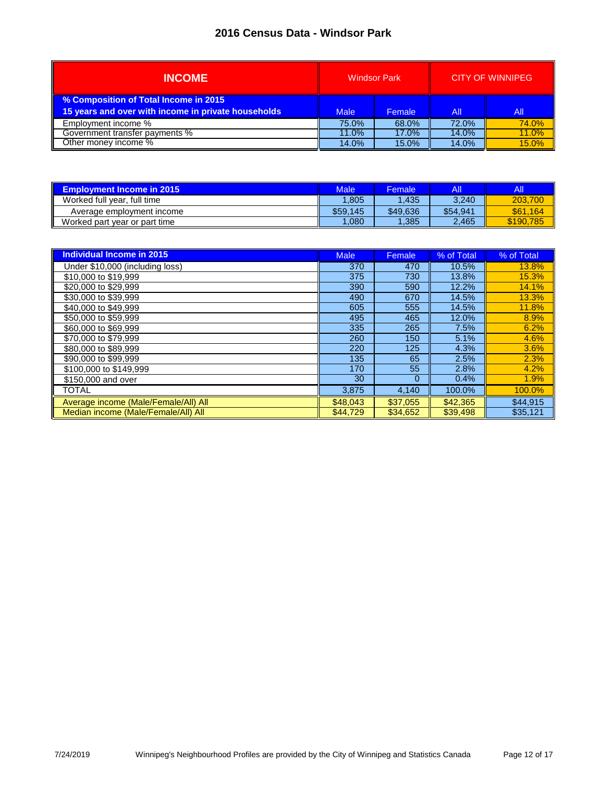| <b>INCOME</b>                                                                                | <b>Windsor Park</b> |        | <b>CITY OF WINNIPEG</b> |       |  |
|----------------------------------------------------------------------------------------------|---------------------|--------|-------------------------|-------|--|
| % Composition of Total Income in 2015<br>15 years and over with income in private households | <b>Male</b>         | Female | All                     | All   |  |
| Employment income %                                                                          | 75.0%               | 68.0%  | 72.0%                   | 74.0% |  |
| Government transfer payments %                                                               | 11.0%               | 17.0%  | 14.0%                   | 11.0% |  |
| Other money income %                                                                         | 14.0%               | 15.0%  | 14.0%                   | 15.0% |  |

| <b>Employment Income in 2015 \</b> | Male     | Female   | All      | All.      |
|------------------------------------|----------|----------|----------|-----------|
| Worked full year, full time        | .805     | .435     | 3.240    | 203,700   |
| Average employment income          | \$59,145 | \$49.636 | \$54,941 | \$61.164  |
| Worked part year or part time      | .080     | ,385     | 2,465    | \$190,785 |

| <b>Individual Income in 2015</b>     | <b>Male</b> | <b>Female</b>  | % of Total | % of Total |
|--------------------------------------|-------------|----------------|------------|------------|
| Under \$10,000 (including loss)      | 370         | 470            | 10.5%      | 13.8%      |
| \$10,000 to \$19.999                 | 375         | 730            | 13.8%      | 15.3%      |
| \$20,000 to \$29.999                 | 390         | 590            | 12.2%      | 14.1%      |
| \$30,000 to \$39,999                 | 490         | 670            | 14.5%      | 13.3%      |
| \$40,000 to \$49,999                 | 605         | 555            | 14.5%      | 11.8%      |
| \$50,000 to \$59.999                 | 495         | 465            | 12.0%      | 8.9%       |
| \$60,000 to \$69,999                 | 335         | 265            | 7.5%       | 6.2%       |
| \$70,000 to \$79.999                 | 260         | 150            | 5.1%       | 4.6%       |
| \$80,000 to \$89,999                 | 220         | 125            | 4.3%       | 3.6%       |
| \$90,000 to \$99.999                 | 135         | 65             | 2.5%       | 2.3%       |
| \$100,000 to \$149,999               | 170         | 55             | 2.8%       | 4.2%       |
| \$150,000 and over                   | 30          | $\overline{0}$ | 0.4%       | 1.9%       |
| TOTAL                                | 3,875       | 4,140          | 100.0%     | 100.0%     |
| Average income (Male/Female/All) All | \$48,043    | \$37,055       | \$42,365   | \$44,915   |
| Median income (Male/Female/All) All  | \$44,729    | \$34,652       | \$39,498   | \$35,121   |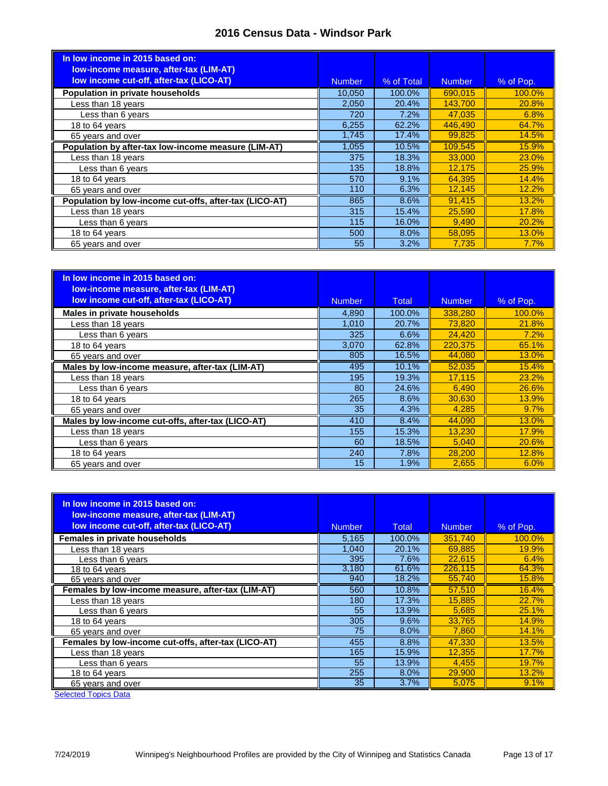| In low income in 2015 based on:<br><b>Iow-income measure, after-tax (LIM-AT)</b> |               |            |               |           |
|----------------------------------------------------------------------------------|---------------|------------|---------------|-----------|
| low income cut-off, after-tax (LICO-AT)                                          | <b>Number</b> | % of Total | <b>Number</b> | % of Pop. |
| Population in private households                                                 | 10,050        | 100.0%     | 690.015       | 100.0%    |
| Less than 18 years                                                               | 2,050         | 20.4%      | 143.700       | 20.8%     |
| Less than 6 years                                                                | 720           | 7.2%       | 47,035        | 6.8%      |
| 18 to 64 years                                                                   | 6,255         | 62.2%      | 446.490       | 64.7%     |
| 65 years and over                                                                | 1,745         | 17.4%      | 99,825        | 14.5%     |
| Population by after-tax low-income measure (LIM-AT)                              | 1,055         | 10.5%      | 109.545       | 15.9%     |
| Less than 18 years                                                               | 375           | 18.3%      | 33,000        | 23.0%     |
| Less than 6 years                                                                | 135           | 18.8%      | 12.175        | 25.9%     |
| 18 to 64 years                                                                   | 570           | 9.1%       | 64.395        | 14.4%     |
| 65 years and over                                                                | 110           | 6.3%       | 12.145        | 12.2%     |
| Population by low-income cut-offs, after-tax (LICO-AT)                           | 865           | 8.6%       | 91.415        | 13.2%     |
| Less than 18 years                                                               | 315           | 15.4%      | 25,590        | 17.8%     |
| Less than 6 years                                                                | 115           | 16.0%      | 9,490         | 20.2%     |
| 18 to 64 years                                                                   | 500           | 8.0%       | 58,095        | 13.0%     |
| 65 years and over                                                                | 55            | 3.2%       | 7.735         | 7.7%      |

| In low income in 2015 based on:<br>low-income measure, after-tax (LIM-AT) |               |              |               |           |
|---------------------------------------------------------------------------|---------------|--------------|---------------|-----------|
| low income cut-off, after-tax (LICO-AT)                                   | <b>Number</b> | <b>Total</b> | <b>Number</b> | % of Pop. |
| Males in private households                                               | 4,890         | 100.0%       | 338,280       | 100.0%    |
| Less than 18 years                                                        | 1,010         | 20.7%        | 73,820        | 21.8%     |
| Less than 6 years                                                         | 325           | 6.6%         | 24,420        | 7.2%      |
| 18 to 64 years                                                            | 3,070         | 62.8%        | 220.375       | 65.1%     |
| 65 years and over                                                         | 805           | 16.5%        | 44,080        | 13.0%     |
| Males by low-income measure, after-tax (LIM-AT)                           | 495           | 10.1%        | 52.035        | 15.4%     |
| Less than 18 years                                                        | 195           | 19.3%        | 17.115        | 23.2%     |
| Less than 6 years                                                         | 80            | 24.6%        | 6.490         | 26.6%     |
| 18 to 64 years                                                            | 265           | 8.6%         | 30.630        | 13.9%     |
| 65 years and over                                                         | 35            | 4.3%         | 4.285         | 9.7%      |
| Males by low-income cut-offs, after-tax (LICO-AT)                         | 410           | 8.4%         | 44,090        | 13.0%     |
| Less than 18 years                                                        | 155           | 15.3%        | 13.230        | 17.9%     |
| Less than 6 years                                                         | 60            | 18.5%        | 5,040         | 20.6%     |
| 18 to 64 years                                                            | 240           | 7.8%         | 28,200        | 12.8%     |
| 65 years and over                                                         | 15            | 1.9%         | 2.655         | 6.0%      |

| In low income in 2015 based on:<br>low-income measure, after-tax (LIM-AT)<br>low income cut-off, after-tax (LICO-AT) | Number | <b>Total</b> | <b>Number</b> | % of Pop.    |
|----------------------------------------------------------------------------------------------------------------------|--------|--------------|---------------|--------------|
| Females in private households                                                                                        | 5,165  | 100.0%       | 351.740       | 100.0%       |
| Less than 18 years                                                                                                   | 1.040  | 20.1%        | 69.885        | <b>19.9%</b> |
| Less than 6 years                                                                                                    | 395    | 7.6%         | 22.615        | 6.4%         |
| 18 to 64 years                                                                                                       | 3,180  | 61.6%        | 226.115       | 64.3%        |
| 65 years and over                                                                                                    | 940    | 18.2%        | 55,740        | 15.8%        |
| Females by low-income measure, after-tax (LIM-AT)                                                                    | 560    | 10.8%        | 57.510        | 16.4%        |
| Less than 18 years                                                                                                   | 180    | 17.3%        | 15.885        | 22.7%        |
| Less than 6 years                                                                                                    | 55     | 13.9%        | 5.685         | 25.1%        |
| 18 to 64 years                                                                                                       | 305    | 9.6%         | 33.765        | <b>14.9%</b> |
| 65 years and over                                                                                                    | 75     | 8.0%         | 7,860         | 14.1%        |
| Females by low-income cut-offs, after-tax (LICO-AT)                                                                  | 455    | 8.8%         | 47.330        | 13.5%        |
| Less than 18 years                                                                                                   | 165    | 15.9%        | 12.355        | 17.7%        |
| Less than 6 years                                                                                                    | 55     | 13.9%        | 4,455         | 19.7%        |
| 18 to 64 years                                                                                                       | 255    | 8.0%         | 29,900        | 13.2%        |
| 65 years and over                                                                                                    | 35     | 3.7%         | 5,075         | 9.1%         |
| <b>Selected Topics Data</b>                                                                                          |        |              |               |              |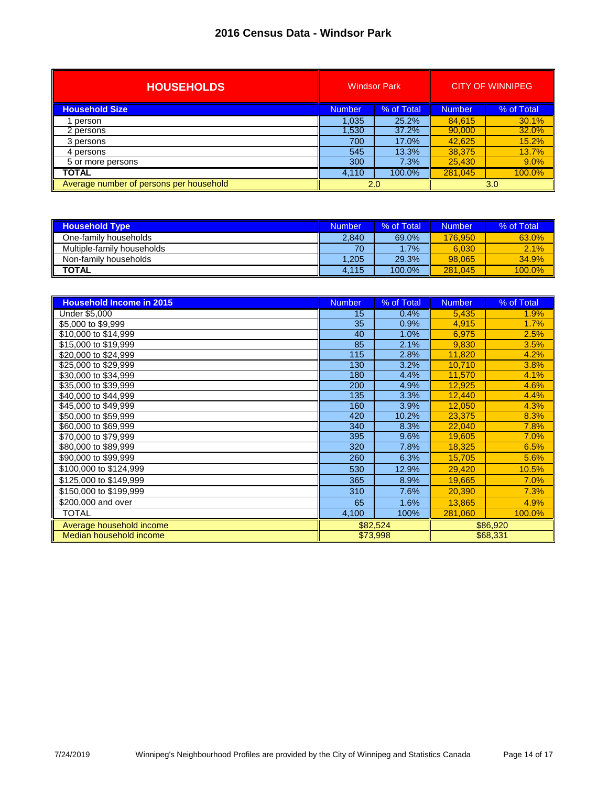| <b>HOUSEHOLDS</b>                       | <b>Windsor Park</b> |            |               | <b>CITY OF WINNIPEG</b> |
|-----------------------------------------|---------------------|------------|---------------|-------------------------|
| <b>Household Size</b>                   | Number              | % of Total | <b>Number</b> | % of Total              |
| person                                  | 1,035               | 25.2%      | 84.615        | 30.1%                   |
| 2 persons                               | 1,530               | 37.2%      | 90,000        | 32.0%                   |
| 3 persons                               | 700                 | 17.0%      | 42,625        | 15.2%                   |
| 4 persons                               | 545                 | 13.3%      | 38,375        | 13.7%                   |
| 5 or more persons                       | 300                 | 7.3%       | 25.430        | 9.0%                    |
| <b>TOTAL</b>                            | 4,110               | 100.0%     | 281.045       | 100.0%                  |
| Average number of persons per household | 2.0                 |            |               | 3.0                     |

| <b>Household Type</b>      | <b>Number</b> | % of Total | <b>Number</b> | % of Total |
|----------------------------|---------------|------------|---------------|------------|
| One-family households      | 2.840         | 69.0%      | 176,950       | 63.0%      |
| Multiple-family households | 70            | 1.7%       | 6.030         | 2.1%       |
| Non-family households      | .205          | 29.3%      | 98.065        | 34.9%      |
| <b>TOTAL</b>               | 4.115         | 100.0%     | 281,045       | $100.0\%$  |

| <b>Household Income in 2015</b> | <b>Number</b> | % of Total | <b>Number</b> | % of Total |
|---------------------------------|---------------|------------|---------------|------------|
| Under \$5,000                   | 15            | 0.4%       | 5,435         | 1.9%       |
| \$5,000 to \$9,999              | 35            | 0.9%       | 4,915         | 1.7%       |
| \$10,000 to \$14,999            | 40            | 1.0%       | 6,975         | 2.5%       |
| \$15,000 to \$19,999            | 85            | 2.1%       | 9.830         | 3.5%       |
| \$20,000 to \$24,999            | 115           | 2.8%       | 11,820        | 4.2%       |
| \$25,000 to \$29,999            | 130           | 3.2%       | 10,710        | 3.8%       |
| \$30,000 to \$34,999            | 180           | 4.4%       | 11,570        | 4.1%       |
| \$35,000 to \$39,999            | 200           | 4.9%       | 12.925        | 4.6%       |
| \$40,000 to \$44,999            | 135           | 3.3%       | 12,440        | 4.4%       |
| \$45,000 to \$49,999            | 160           | 3.9%       | 12,050        | 4.3%       |
| \$50,000 to \$59,999            | 420           | 10.2%      | 23.375        | 8.3%       |
| \$60,000 to \$69,999            | 340           | 8.3%       | 22,040        | 7.8%       |
| \$70,000 to \$79,999            | 395           | 9.6%       | 19,605        | 7.0%       |
| \$80,000 to \$89,999            | 320           | 7.8%       | 18,325        | 6.5%       |
| \$90,000 to \$99,999            | 260           | 6.3%       | 15,705        | 5.6%       |
| \$100,000 to \$124,999          | 530           | 12.9%      | 29,420        | 10.5%      |
| \$125,000 to \$149,999          | 365           | 8.9%       | 19,665        | 7.0%       |
| \$150,000 to \$199,999          | 310           | 7.6%       | 20,390        | 7.3%       |
| \$200,000 and over              | 65            | 1.6%       | 13.865        | 4.9%       |
| <b>TOTAL</b>                    | 4,100         | 100%       | 281,060       | 100.0%     |
| Average household income        | \$82,524      |            |               | \$86,920   |
| Median household income         |               | \$73,998   |               | \$68,331   |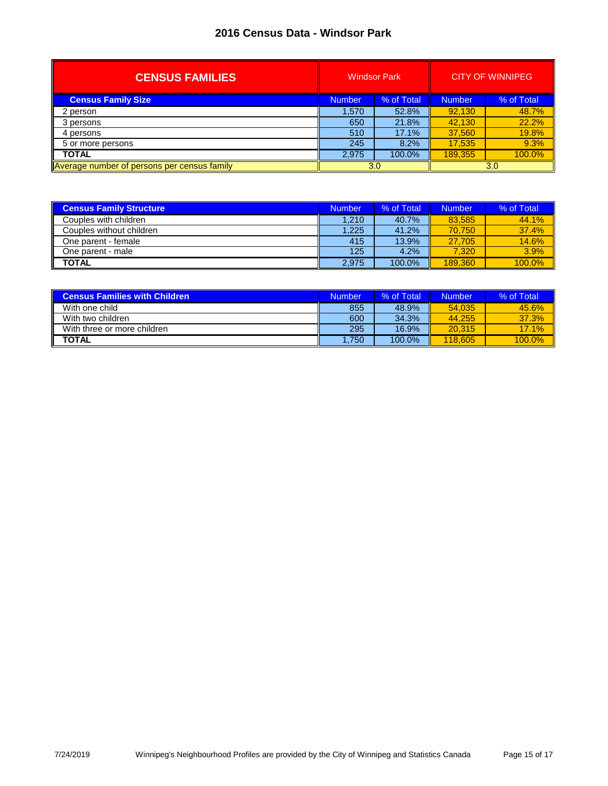| <b>CENSUS FAMILIES</b>                      | <b>Windsor Park</b> |            |         | <b>CITY OF WINNIPEG</b> |
|---------------------------------------------|---------------------|------------|---------|-------------------------|
| <b>Census Family Size</b>                   | Number              | % of Total | Number. | % of Total              |
| 2 person                                    | 1,570               | 52.8%      | 92,130  | 48.7%                   |
| 3 persons                                   | 650                 | 21.8%      | 42,130  | 22.2%                   |
| 4 persons                                   | 510                 | 17.1%      | 37.560  | 19.8%                   |
| 5 or more persons                           | 245                 | 8.2%       | 17.535  | 9.3%                    |
| <b>TOTAL</b>                                | 2.975               | 100.0%     | 189,355 | 100.0%                  |
| Average number of persons per census family | 3.0<br>3.0          |            |         |                         |

| <b>Census Family Structure</b> | Number | % of Total | Number  | % of Total |
|--------------------------------|--------|------------|---------|------------|
| Couples with children          | 1.210  | 40.7%      | 83.585  | 44.1%      |
| Couples without children       | 1.225  | 41.2%      | 70.750  | 37.4%      |
| One parent - female            | 415    | 13.9%      | 27.705  | 14.6%      |
| One parent - male              | 125    | 4.2%       | 7.320   | 3.9%       |
| <b>TOTAL</b>                   | 2.975  | 100.0%     | 189.360 | 100.0%     |

| <b>Census Families with Children</b> | Number | % of Total | <b>Number</b> | % of Total |
|--------------------------------------|--------|------------|---------------|------------|
| With one child                       | 855    | 48.9%      | 54.035        | 45.6%      |
| With two children                    | 600    | 34.3%      | 44.255        | 37.3%      |
| With three or more children          | 295    | 16.9%      | 20.315        | 17.1%      |
| <b>TOTAL</b>                         | .750   | 100.0%     | 118,605       | 100.0%     |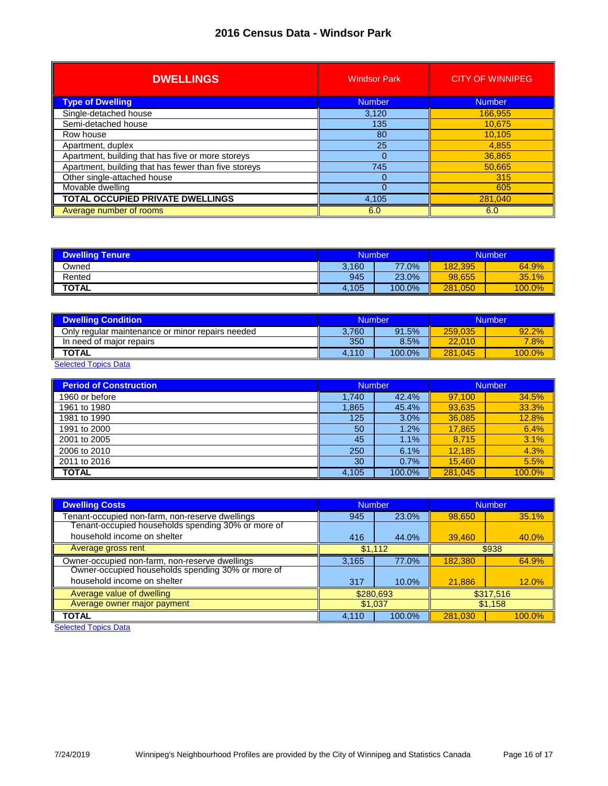| <b>DWELLINGS</b>                                     | <b>Windsor Park</b> | <b>CITY OF WINNIPEG</b> |
|------------------------------------------------------|---------------------|-------------------------|
| <b>Type of Dwelling</b>                              | <b>Number</b>       | <b>Number</b>           |
| Single-detached house                                | 3,120               | 166,955                 |
| Semi-detached house                                  | 135                 | 10,675                  |
| Row house                                            | 80                  | 10.105                  |
| Apartment, duplex                                    | 25                  | 4.855                   |
| Apartment, building that has five or more storeys    |                     | 36,865                  |
| Apartment, building that has fewer than five storeys | 745                 | 50,665                  |
| Other single-attached house                          |                     | 315                     |
| Movable dwelling                                     |                     | 605                     |
| <b>TOTAL OCCUPIED PRIVATE DWELLINGS</b>              | 4,105               | 281.040                 |
| Average number of rooms                              | 6.0                 | 6.0                     |

| <b>Dwelling Tenure</b> | <b>Number</b> |        | <b>Number</b> |        |
|------------------------|---------------|--------|---------------|--------|
| Owned                  | 3,160         | 77.0%  | 182,395       | 64.9%  |
| Rented                 | 945           | 23.0%  | 98.655        | 35.1%  |
| <b>TOTAL</b>           | 4,105         | 100.0% | 281,050       | 100.0% |

| <b>Dwelling Condition</b>                        | <b>Number</b> |        | Number  |           |
|--------------------------------------------------|---------------|--------|---------|-----------|
| Only regular maintenance or minor repairs needed | 3.760         | 91.5%  | 259.035 | 92.2%     |
| In need of major repairs                         | 350           | 8.5%   | 22,010  | 7.8%      |
| <b>TOTAL</b>                                     | .110<br>4.1   | 100.0% | 281.045 | $100.0\%$ |

**[Selected Topics Data](http://winnipeg.ca/census/2016/Selected Topics/default.asp)** 

| <b>Period of Construction</b> | <b>Number</b> |        | Number  |        |
|-------------------------------|---------------|--------|---------|--------|
| 1960 or before                | 1.740         | 42.4%  | 97.100  | 34.5%  |
| 1961 to 1980                  | 1,865         | 45.4%  | 93,635  | 33.3%  |
| 1981 to 1990                  | 125           | 3.0%   | 36,085  | 12.8%  |
| 1991 to 2000                  | 50            | 1.2%   | 17.865  | 6.4%   |
| 2001 to 2005                  | 45            | 1.1%   | 8,715   | 3.1%   |
| 2006 to 2010                  | 250           | 6.1%   | 12.185  | 4.3%   |
| 2011 to 2016                  | 30            | 0.7%   | 15.460  | 5.5%   |
| <b>TOTAL</b>                  | 4,105         | 100.0% | 281.045 | 100.0% |

| <b>Number</b> |        | <b>Number</b> |        |
|---------------|--------|---------------|--------|
| 945           | 23.0%  | 98.650        | 35.1%  |
|               |        |               |        |
| 416           | 44.0%  | 39,460        | 40.0%  |
| \$1.112       |        | \$938         |        |
| 3.165         | 77.0%  | 182,380       | 64.9%  |
|               |        |               |        |
| 317           | 10.0%  | 21,886        | 12.0%  |
| \$280,693     |        | \$317,516     |        |
| \$1,037       |        | \$1,158       |        |
| 4.110         | 100.0% | 281.030       | 100.0% |
|               |        |               |        |